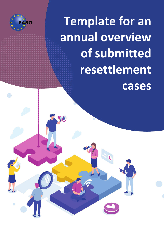

Ó

**Template for an annual overview of submitted resettlement cases**

 $\Theta$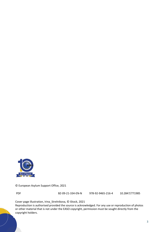

© European Asylum Support Office, 2021

PDF BZ-09-21-334-EN-N 978-92-9465-216-4 10.2847/771985

Cover page illustration, Irina\_Strelnikova, © iStock, 2021

Reproduction is authorised provided the source is acknowledged. For any use or reproduction of photos or other material that is not under the EASO copyright, permission must be sought directly from the copyright holders.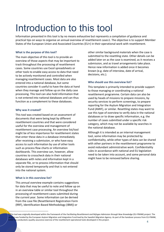# Introduction to this tool

Information presented in this tool is by no means exhaustive but represents a compilation of guidance and practical tips on ways to organise an annual overview of resettlement cases1. The objective is to support Member States of the European Union and Associated Countries (EU+) in their operational work with resettlement.

## **What is the purpose of this tool?**

The main objective of this tool is to provide an overview of those aspects that may be important to track throughout the processing of resettlement cases. Some countries use Excel spreadsheets or other tools to enable easy access to data that need to be actively monitored and controlled when managing resettlement cases. Most data are also entered into a national database, but some countries consider it useful to have the data at hand when they manage and follow up on the daily case processing. This tool can also hold information that is not entered into national databases and can thus function as a complement to these databases.

### **Why was it created?**

This tool was created based on an assessment of documents that were being kept by different resettlement countries and that were considered useful for the overview and management of resettlement case processing. An overview list/tool might be of less importance for resettlement states that enter these data in a database immediately after receiving a submission, or who have easy access to such information by use of other tools such as process flow charts or information dashboards. This overview can, however, allow countries to crosscheck data in their national databases with notes and information kept in a separate file, or to process information that should only be stored temporarily and that is not entered into the national system.

### **What is in this overview list?**

This annual overview example contains suggestions for data that may be useful to note and follow up on in an overview table or similar tool throughout the processing of resettlement cases submitted during the current year. Some information can be derived from the case file (Resettlement Registration Form (RRF), Identification-Based Methodology (IBM)) or

other similar background materials when the case is submitted to the resettling state. Other details can be added later on as the case is examined, as it receives a submission, and as travel arrangements take place. Hence new information is added once it becomes known (e.g. date of interview, date of arrival, decisions, etc.).

## **Who should use this overview list?**

This template is primarily intended to provide support to those managing or coordinating a national resettlement programme. Certain data can also be used by heads of missions to prepare missions, by security services to perform screenings, to prepare reporting for the Asylum Migration and Integration Fund (AMIF), or similar. Resettling states may want to use this type of overview to verify data in the national databases or to draw specific information, e.g. the number of cases submitted under a specific risk category, which may not be available by searches in the national database.

Although it is intended as an internal management tool, some information may be protected by confidentiality, while other types of data can be shared with other partners in the resettlement programme to avoid redundant administrative work. Confidentiality rules in accordance with national and EU legislation need to be taken into account, and some personal data might have to be removed before sharing.

This tool was originally developed within the framework of the Facilitating Resettlement and Refugee Admission through New Knowledge (EU-FRANK) project. The t was funded by the European Asylum Migration and Integration Fund lead by the Swedish Migration Agency. As part of the handover process from EU-FRANK, EASO has conducted a quality assurance exercise of the resettlement operational tools developed in this project.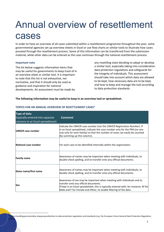# Annual overview of resettlement cases

In order to have an overview of all cases submitted within a resettlement programme throughout the year, some governmental agencies set up overview sheets in Excel or use flow charts or similar tools to illustrate how cases proceed through the resettlement process. Some of this information can be transferred from the submission material, while other data can be entered as the case continues through the national resettlement process.

### **Important note**

The list below suggests information items that may be useful for governments to keep track of in an overview sheet or similar tool. It is important to note that this list is not exhaustive, nor normative, and that it should only be used as guidance and inspiration for national developments. An assessment must be made by

any resettling state deciding to adopt or develop a similar tool, especially taking into consideration data protection regulations and safeguards for the integrity of individuals. This assessment should take into account which data are allowed to be kept, how necessary data are to be kept, and how to keep and manage the tool according to data protection standards.

### **The following information may be useful to keep in an overview tool or spreadsheet.**

| <b>Type of data</b><br>(typically entered into separate<br>columns in an Excel spreadsheet) | <b>Comment</b>                                                                                                                                                                                                                                                               |
|---------------------------------------------------------------------------------------------|------------------------------------------------------------------------------------------------------------------------------------------------------------------------------------------------------------------------------------------------------------------------------|
| <b>UNHCR</b> case number                                                                    | Indicate the UNHCR case number (not the UNHCR Registration Number). If<br>in an Excel spreadsheet, indicate the case number only for the PRA (on one<br>row only for each family) so that the number of cases can easily be counted<br>(by summing up this column).          |
| National case number                                                                        | For each case to be identified internally within the organisation.                                                                                                                                                                                                           |
| <b>Family name</b>                                                                          | Awareness of names may be important when meeting with individuals, to<br>double check spelling, and to transfer onto any official documents.                                                                                                                                 |
| Given name/first name                                                                       | Awareness of names may be important when meeting with individuals, to<br>double check spelling, and to transfer onto any official documents.                                                                                                                                 |
| Sex                                                                                         | Awareness of sex may be important when meeting with individuals and to<br>transfer onto any official documents.<br>If kept in an Excel spreadsheet, this is typically entered with, for instance, M for<br>Male and F for Female and Other, to enable filtering of the data. |

## **TOPICS FOR AN ANNUAL OVERVIEW OF RESETTLEMENT CASES2**

When handling personal data, always pay attention to data protection regulations and standards (e.g. the European Union General Data Protection Regulation, **GDPR**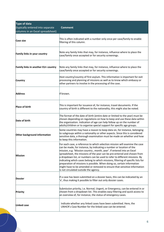| <b>Type of data</b><br>(typically entered into separate | <b>Comment</b>                                                                                                                                                                                                                                                                                                                                                                                                                                                                                                                                                                                                                                                              |
|---------------------------------------------------------|-----------------------------------------------------------------------------------------------------------------------------------------------------------------------------------------------------------------------------------------------------------------------------------------------------------------------------------------------------------------------------------------------------------------------------------------------------------------------------------------------------------------------------------------------------------------------------------------------------------------------------------------------------------------------------|
| columns in an Excel spreadsheet)                        |                                                                                                                                                                                                                                                                                                                                                                                                                                                                                                                                                                                                                                                                             |
| <b>Case size</b>                                        | This is often indicated with a number only once per case/family to enable<br>filtering of this column.                                                                                                                                                                                                                                                                                                                                                                                                                                                                                                                                                                      |
| <b>Family links in your country</b>                     | Note any family links that may, for instance, influence where to place the<br>case/family once accepted or for security screenings.                                                                                                                                                                                                                                                                                                                                                                                                                                                                                                                                         |
| Family links in another EU+ country                     | Note any family links that may, for instance, influence where to place the<br>case/family once accepted or for security screenings.                                                                                                                                                                                                                                                                                                                                                                                                                                                                                                                                         |
| <b>Country</b>                                          | Host country/country of first asylum. This information is important for exit<br>processing and planning of missions as well as to know which embassy or<br>other partners to involve in the processing of the case.                                                                                                                                                                                                                                                                                                                                                                                                                                                         |
| <b>Address</b>                                          | If known.                                                                                                                                                                                                                                                                                                                                                                                                                                                                                                                                                                                                                                                                   |
| <b>Place of birth</b>                                   | This is important for issuance of, for instance, travel documents. If the<br>country of birth is different to the nationality, this might also be noted.                                                                                                                                                                                                                                                                                                                                                                                                                                                                                                                    |
| Date of birth                                           | The format of the date of birth (entire date or limited to the year) must be<br>chosen depending on regulations on how to keep and use these data within<br>the organisation. Indication of age can help follow up on the number of<br>adults/children or to organise special support for specific age groups.                                                                                                                                                                                                                                                                                                                                                              |
| Other background information                            | Some countries may have a reason to keep data on, for instance, belonging<br>to subgroups within a nationality or other aspects. Since this is considered<br>sensitive data, a thorough examination must be made on whether and how<br>to keep this information.                                                                                                                                                                                                                                                                                                                                                                                                            |
| <b>Mission</b>                                          | For each case, a reference to which selection mission will examine the case<br>can be made, for instance, by indicating a number or location of the<br>mission, e.g. 'Mission country, month, year'. If entered into an Excel<br>spreadsheet, the missions of the year can be pre-entered and chosen from<br>a dropdown list, or numbers can be used to refer to different missions. By<br>indicating which cases belong to which missions, filtering of specific lists for<br>preparation of missions is possible. When doing so, certain information<br>might have to be amended or removed to ensure that sensitive information<br>is not circulated outside the agency. |
| <b>Dossier</b>                                          | If a case has been submitted on a dossier basis, this can be indicated by an<br>'x', thus making it possible to filter out only dossier cases.                                                                                                                                                                                                                                                                                                                                                                                                                                                                                                                              |
| <b>Priority</b>                                         | Submission priority, i.e. Normal, Urgent, or Emergency, can be entered in or<br>chosen from a dropdown list. This enables easy filtering and quick access to<br>an overview of, for instance, the status of emergency cases.                                                                                                                                                                                                                                                                                                                                                                                                                                                |
| Linked case                                             | Indicate whether any linked cases have been submitted. Here, the<br>UNHCR's Case Number for the linked case can be entered.                                                                                                                                                                                                                                                                                                                                                                                                                                                                                                                                                 |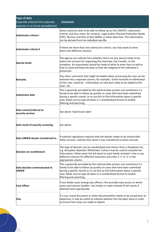| <b>Type of data</b>                                                  |                                                                                                                                                                                                                                                                                                                                            |
|----------------------------------------------------------------------|--------------------------------------------------------------------------------------------------------------------------------------------------------------------------------------------------------------------------------------------------------------------------------------------------------------------------------------------|
| (typically entered into separate<br>columns in an Excel spreadsheet) | <b>Comment</b>                                                                                                                                                                                                                                                                                                                             |
| Submission criteria I                                                | Some countries wish to be able to follow up on the UNHCR's submission<br>criteria, and thus enter, for instance, Legal and/or Physical Protection Needs<br>(LPP), Women and Girls at Risk (WAR), or other data here. This information<br>can be derived from the individual case file.                                                     |
| <b>Submission criteria II</b>                                        | If there are more than one submission criteria, you may want to enter<br>them into different columns.                                                                                                                                                                                                                                      |
| <b>Special needs</b>                                                 | The agency can indicate here whether there are any special needs to be<br>taken into account for organising the interview, the transfer, or the<br>reception. An assessment should be made of what to enter here as well as<br>how to treat and keep the data so that the integrity of the individual is<br>preserved.                     |
| <b>Remarks</b>                                                       | Any other comments that might be helpful when processing the case can be<br>entered into a separate column, for example, 'Email received on withdrawal<br>of this case, stand by', 'Information on new-born baby to be added to this<br>case', etc.                                                                                        |
| <b>Submission date</b>                                               | This is generally provided by the national data system, but sometimes it is<br>handy to be able to follow up quickly on cases that have been submitted<br>during a specific month, or to use this to find information about a specific<br>case. Make sure to type all dates in a standardised format to enable<br>filtering and searching. |
| Date contact/referral to<br>security services                        | See above 'Submission date'                                                                                                                                                                                                                                                                                                                |
| Date result of security screening                                    | See above                                                                                                                                                                                                                                                                                                                                  |
| Date UNHCR dossier transferred to                                    | If national regulations requires that the dossier needs to be shared with<br>other services, indicate here when it was transferred to these services.                                                                                                                                                                                      |
| <b>Decision on resettlement</b>                                      | The type of decision can be standardised and chosen from a dropdown list,<br>e.g. Accepted, Rejected, Withdrawn. Colours may be used to visualise the<br>information. Either enter the full word on each family member's line or use<br>different columns for different outcomes and enter a '1' or 'x' in the<br>appropriate column.      |
| Date decision communicated to<br><b>UNHCR</b>                        | This is generally provided by the national data system, but sometimes it is<br>handy to be able to follow up quickly on cases that have been submitted<br>during a specific month or to use this to find information about a specific<br>case. Make sure to type all dates in a standardised format to enable<br>filtering and searching.  |
| <b>Case officer</b>                                                  | If you divide cases among case officers, this provides easy access to which<br>cases each person handles. Use initials or codes instead of full names if<br>deemed more appropriate.                                                                                                                                                       |
| Visa                                                                 | If a visa, travel document or other documentation needs to be issued prior to<br>departure, it may be useful to indicate whether this has been done in order<br>to ensure that cases are ready to depart.                                                                                                                                  |